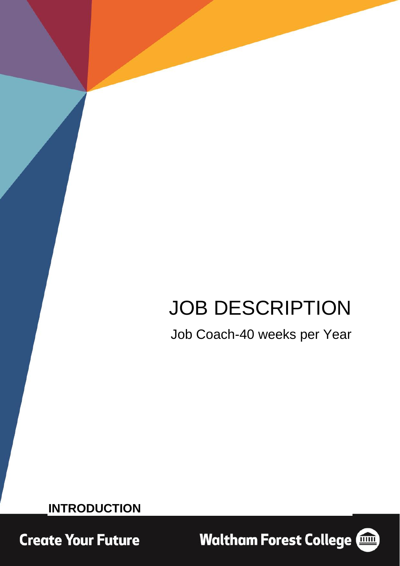# JOB DESCRIPTION

Job Coach-40 weeks per Year

**INTRODUCTION**

**Create Your Future** 

**Waltham Forest College (1986)** 

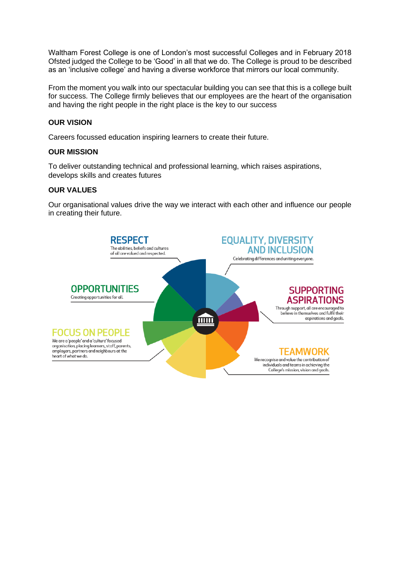Waltham Forest College is one of London's most successful Colleges and in February 2018 Ofsted judged the College to be 'Good' in all that we do. The College is proud to be described as an 'inclusive college' and having a diverse workforce that mirrors our local community.

From the moment you walk into our spectacular building you can see that this is a college built for success. The College firmly believes that our employees are the heart of the organisation and having the right people in the right place is the key to our success

# **OUR VISION**

Careers focussed education inspiring learners to create their future.

## **OUR MISSION**

To deliver outstanding technical and professional learning, which raises aspirations, develops skills and creates futures

## **OUR VALUES**

Our organisational values drive the way we interact with each other and influence our people in creating their future.

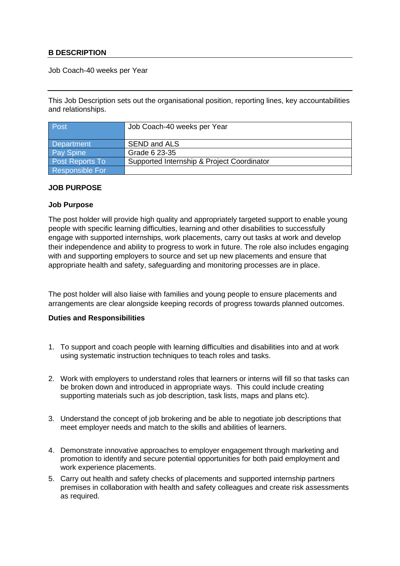### **B DESCRIPTION**

Job Coach-40 weeks per Year

This Job Description sets out the organisational position, reporting lines, key accountabilities and relationships.

| Post                   | Job Coach-40 weeks per Year                |
|------------------------|--------------------------------------------|
|                        |                                            |
| Department             | <b>SEND and ALS</b>                        |
| <b>Pay Spine</b>       | Grade 6 23-35                              |
| <b>Post Reports To</b> | Supported Internship & Project Coordinator |
| <b>Responsible For</b> |                                            |

#### **JOB PURPOSE**

#### **Job Purpose**

The post holder will provide high quality and appropriately targeted support to enable young people with specific learning difficulties, learning and other disabilities to successfully engage with supported internships, work placements, carry out tasks at work and develop their independence and ability to progress to work in future. The role also includes engaging with and supporting employers to source and set up new placements and ensure that appropriate health and safety, safeguarding and monitoring processes are in place.

The post holder will also liaise with families and young people to ensure placements and arrangements are clear alongside keeping records of progress towards planned outcomes.

#### **Duties and Responsibilities**

- 1. To support and coach people with learning difficulties and disabilities into and at work using systematic instruction techniques to teach roles and tasks.
- 2. Work with employers to understand roles that learners or interns will fill so that tasks can be broken down and introduced in appropriate ways. This could include creating supporting materials such as job description, task lists, maps and plans etc).
- 3. Understand the concept of job brokering and be able to negotiate job descriptions that meet employer needs and match to the skills and abilities of learners.
- 4. Demonstrate innovative approaches to employer engagement through marketing and promotion to identify and secure potential opportunities for both paid employment and work experience placements.
- 5. Carry out health and safety checks of placements and supported internship partners premises in collaboration with health and safety colleagues and create risk assessments as required.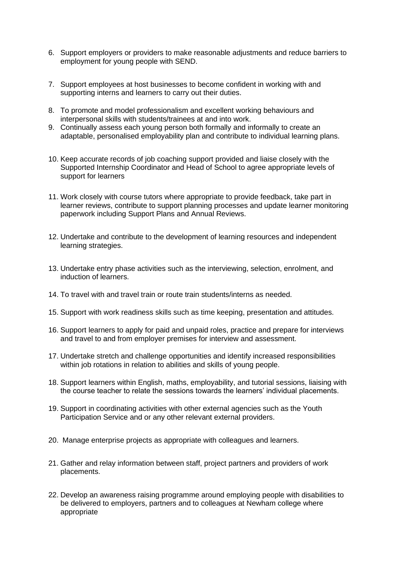- 6. Support employers or providers to make reasonable adjustments and reduce barriers to employment for young people with SEND.
- 7. Support employees at host businesses to become confident in working with and supporting interns and learners to carry out their duties.
- 8. To promote and model professionalism and excellent working behaviours and interpersonal skills with students/trainees at and into work.
- 9. Continually assess each young person both formally and informally to create an adaptable, personalised employability plan and contribute to individual learning plans.
- 10. Keep accurate records of job coaching support provided and liaise closely with the Supported Internship Coordinator and Head of School to agree appropriate levels of support for learners
- 11. Work closely with course tutors where appropriate to provide feedback, take part in learner reviews, contribute to support planning processes and update learner monitoring paperwork including Support Plans and Annual Reviews.
- 12. Undertake and contribute to the development of learning resources and independent learning strategies.
- 13. Undertake entry phase activities such as the interviewing, selection, enrolment, and induction of learners.
- 14. To travel with and travel train or route train students/interns as needed.
- 15. Support with work readiness skills such as time keeping, presentation and attitudes.
- 16. Support learners to apply for paid and unpaid roles, practice and prepare for interviews and travel to and from employer premises for interview and assessment.
- 17. Undertake stretch and challenge opportunities and identify increased responsibilities within job rotations in relation to abilities and skills of young people.
- 18. Support learners within English, maths, employability, and tutorial sessions, liaising with the course teacher to relate the sessions towards the learners' individual placements.
- 19. Support in coordinating activities with other external agencies such as the Youth Participation Service and or any other relevant external providers.
- 20. Manage enterprise projects as appropriate with colleagues and learners.
- 21. Gather and relay information between staff, project partners and providers of work placements.
- 22. Develop an awareness raising programme around employing people with disabilities to be delivered to employers, partners and to colleagues at Newham college where appropriate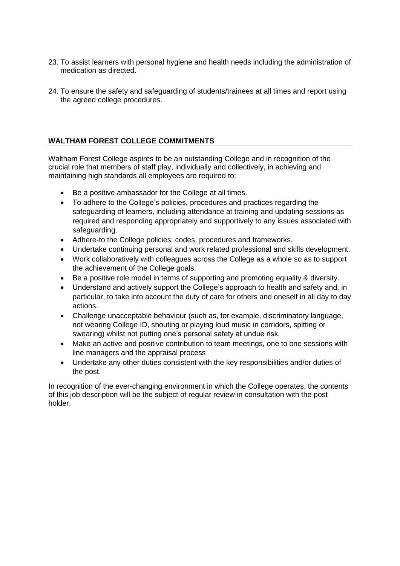- 23. To assist learners with personal hygiene and health needs including the administration of medication as directed.
- 24. To ensure the safety and safeguarding of students/trainees at all times and report using the agreed college procedures.

# **WALTHAM FOREST COLLEGE COMMITMENTS**

Waltham Forest College aspires to be an outstanding College and in recognition of the crucial role that members of staff play, individually and collectively, in achieving and maintaining high standards all employees are required to:

- Be a positive ambassador for the College at all times.
- To adhere to the College's policies, procedures and practices regarding the safeguarding of learners, including attendance at training and updating sessions as required and responding appropriately and supportively to any issues associated with safeguarding.
- Adhere-to the College policies, codes, procedures and frameworks.
- Undertake continuing personal and work related professional and skills development.
- Work collaboratively with colleagues across the College as a whole so as to support the achievement of the College goals.
- Be a positive role model in terms of supporting and promoting equality & diversity.
- Understand and actively support the College's approach to health and safety and, in particular, to take into account the duty of care for others and oneself in all day to day actions.
- Challenge unacceptable behaviour (such as, for example, discriminatory language, not wearing College ID, shouting or playing loud music in corridors, spitting or swearing) whilst not putting one's personal safety at undue risk.
- Make an active and positive contribution to team meetings, one to one sessions with line managers and the appraisal process
- Undertake any other duties consistent with the key responsibilities and/or duties of the post.

In recognition of the ever-changing environment in which the College operates, the contents of this job description will be the subject of regular review in consultation with the post holder.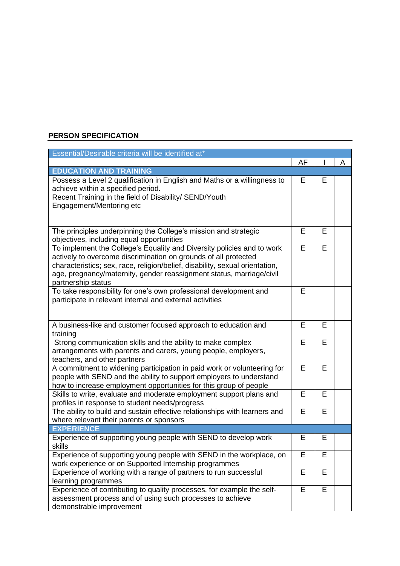# **PERSON SPECIFICATION**

| Essential/Desirable criteria will be identified at*                                                                                                                                                                                                                                                                     |    |   |   |
|-------------------------------------------------------------------------------------------------------------------------------------------------------------------------------------------------------------------------------------------------------------------------------------------------------------------------|----|---|---|
|                                                                                                                                                                                                                                                                                                                         | AF |   | A |
| <b>EDUCATION AND TRAINING</b>                                                                                                                                                                                                                                                                                           |    |   |   |
| Possess a Level 2 qualification in English and Maths or a willingness to<br>achieve within a specified period.<br>Recent Training in the field of Disability/ SEND/Youth<br>Engagement/Mentoring etc                                                                                                                    |    | Е |   |
| The principles underpinning the College's mission and strategic<br>objectives, including equal opportunities                                                                                                                                                                                                            |    | E |   |
| To implement the College's Equality and Diversity policies and to work<br>actively to overcome discrimination on grounds of all protected<br>characteristics; sex, race, religion/belief, disability, sexual orientation,<br>age, pregnancy/maternity, gender reassignment status, marriage/civil<br>partnership status |    | E |   |
| To take responsibility for one's own professional development and<br>participate in relevant internal and external activities                                                                                                                                                                                           | E  |   |   |
| A business-like and customer focused approach to education and<br>training                                                                                                                                                                                                                                              |    | E |   |
| Strong communication skills and the ability to make complex<br>arrangements with parents and carers, young people, employers,<br>teachers, and other partners                                                                                                                                                           |    | E |   |
| A commitment to widening participation in paid work or volunteering for<br>people with SEND and the ability to support employers to understand<br>how to increase employment opportunities for this group of people                                                                                                     |    | E |   |
| Skills to write, evaluate and moderate employment support plans and<br>profiles in response to student needs/progress                                                                                                                                                                                                   |    | E |   |
| The ability to build and sustain effective relationships with learners and<br>where relevant their parents or sponsors                                                                                                                                                                                                  |    | E |   |
| <b>EXPERIENCE</b>                                                                                                                                                                                                                                                                                                       |    |   |   |
| Experience of supporting young people with SEND to develop work<br>skills                                                                                                                                                                                                                                               |    | Е |   |
| Experience of supporting young people with SEND in the workplace, on<br>work experience or on Supported Internship programmes                                                                                                                                                                                           |    | Е |   |
| Experience of working with a range of partners to run successful<br>learning programmes                                                                                                                                                                                                                                 |    | E |   |
| Experience of contributing to quality processes, for example the self-<br>assessment process and of using such processes to achieve<br>demonstrable improvement                                                                                                                                                         |    | Е |   |